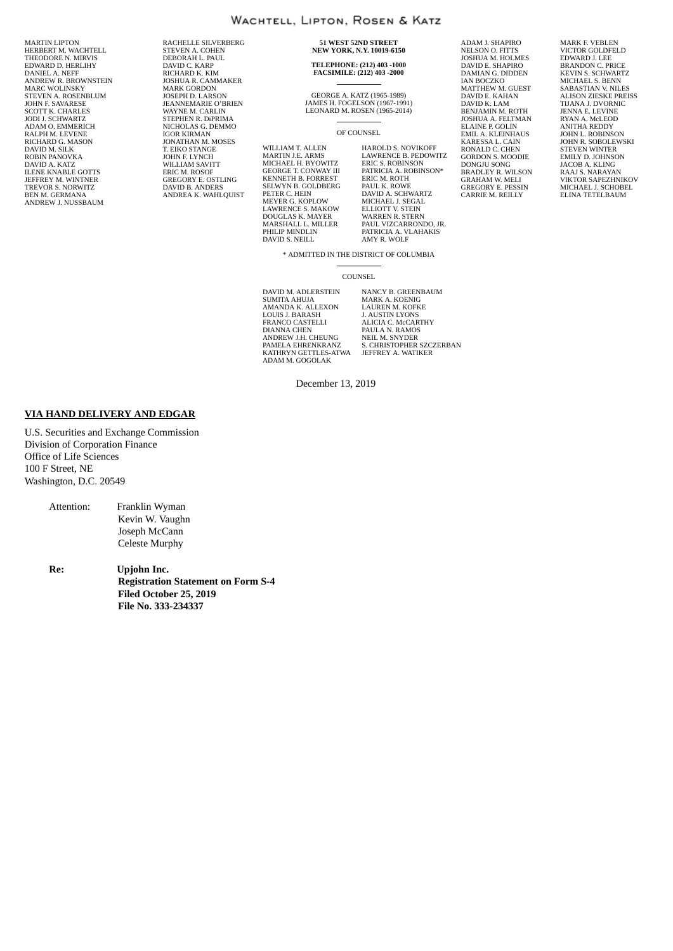MARTIN LIPTON HERBERT M. WACHTELL THEODORE N. MIRVIS EDWARD D. HERLIHY DANIEL A. NEFF ANDREW R. BROWNSTEIN MARC WOLINSKY STEVEN A. ROSENBLUM JOHN F. SAVARESE SCOTT K. CHARLES JODI J. SCHWARTZ ADAM O. EMMERICH RALPH M. LEVENE RICHARD G. MASON DAVID M. SILK ROBIN PANOVKA DAVID A. KATZ ILENE KNABLE GOTTS JEFFREY M. WINTNER TREVOR S. NORWITZ BEN M. GERMANA ANDREW J. NUSSBAUM

RACHELLE SILVERBERG STEVEN A. COHEN DEBORAH L. PAUL DAVID C. KARP RICHARD K. KIM JOSHUA R. CAMMAKER MARK GORDON JOSEPH D. LARSON JEANNEMARIE O'BRIEN WAYNE M. CARLIN STEPHEN R. DiPRIMA NICHOLAS G. DEMMO IGOR KIRMAN JONATHAN M. MOSES T. EIKO STANGE JOHN F. LYNCH WILLIAM SAVITT ERIC M. ROSOF GREGORY E. OSTLING DAVID B. ANDERS ANDREA K. WAHLQUIST

**51 WEST 52ND STREET NEW YORK, N.Y. 10019-6150**

# **TELEPHONE: (212) 403 -1000 FACSIMILE: (212) 403 -2000**

GEORGE A. KATZ (1965-1989) JAMES H. FOGELSON (1967-1991) LEONARD M. ROSEN (1965-2014)

#### OF COUNSEL

WILLIAM T. ALLEN MARTIN J.E. ARMS MICHAEL H. BYOWITZ GEORGE T. CONWAY III KENNETH B. FORREST SELWYN B. GOLDBERG PETER C. HEIN MEYER G. KOPLOW LAWRENCE S. MAKOW DOUGLAS K. MAYER MARSHALL L. MILLER PHILIP MINDLIN DAVID S. NEILL

HAROLD S. NOVIKOFF LAWRENCE B. PEDOWITZ ERIC S. ROBINSON\*<br>PATRICIA A. ROBINSON\*<br>ERIC M. ROTH<br>PAUL K. ROWE<br>DAVID A. SCHWARTZ<br>MICHAEL J. SEGAL<br>ELLIOTT V. STEIN<br>WARREN R. STEIN PAUL VIZCARRONDO, JR. PATRICIA A. VLAHAKIS AMY R. WOLF

ADAM J. SHAPIRO NELSON O. FITTS JOSHUA M. HOLMES DAVID E. SHAPIRO DAMIAN G. DIDDEN IAN BOCZKO MATTHEW M. GUEST<br>DAVID E. KAHAN<br>DAVID K. LAM<br>BENJAMIN M. ROTH<br>JOSHUA A. FELTMAN<br>ELAINE P. GOLIN<br>EMIL A. KLEINHAUS KARESSA L. CAIN<br>RONALD C. CHEN<br>GORDON S. MOODIE<br>DONGJU SONG<br>BRADLEY R. WILSON<br>GRAHAM W. MELI<br>GREGORY E. PESSIN CARRIE M. REILLY

MARK F. VEBLEN VICTOR GOLDFELD EDWARD J. LEE BRANDON C. PRICE KEVIN S. SCHWARTZ MICHAEL S. BENN SABASTIAN V. NILES ALISON ZIESKE PREISS TIJANA J. DVORNIC JENNA E. LEVINE RYAN A. McLEOD ANITHA REDDY JOHN L. ROBINSON JOHN R. SOBOLEWSKI STEVEN WINTER EMILY D. JOHNSON JACOB A. KLING RAAJ S. NARAYAN VIKTOR SAPEZHNIKOV MICHAEL J. SCHOBEL ELINA TETELBAUM

\* ADMITTED IN THE DISTRICT OF COLUMBIA

#### COUNSEL

DAVID M. ADLERSTEIN SUMITA AHUJA AMANDA K. ALLEXON LOUIS J. BARASH FRANCO CASTELLI DIANNA CHEN ANDREW J.H. CHEUNG PAMELA EHRENKRANZ KATHRYN GETTLES-ATWA ADAM M. GOGOLAK

NANCY B. GREENBAUM MARK A. KOENIG LAUREN M. KOFKE J. AUSTIN LYONS ALICIA C. McCARTHY PAULA N. RAMOS NEIL M. SNYDER S. CHRISTOPHER SZCZERBAN JEFFREY A. WATIKER

December 13, 2019

#### **VIA HAND DELIVERY AND EDGAR**

U.S. Securities and Exchange Commission Division of Corporation Finance Office of Life Sciences 100 F Street, NE Washington, D.C. 20549

> Attention: Franklin Wyman Kevin W. Vaughn Joseph McCann Celeste Murphy

**Re: Upjohn Inc. Registration Statement on Form S-4 Filed October 25, 2019 File No. 333-234337**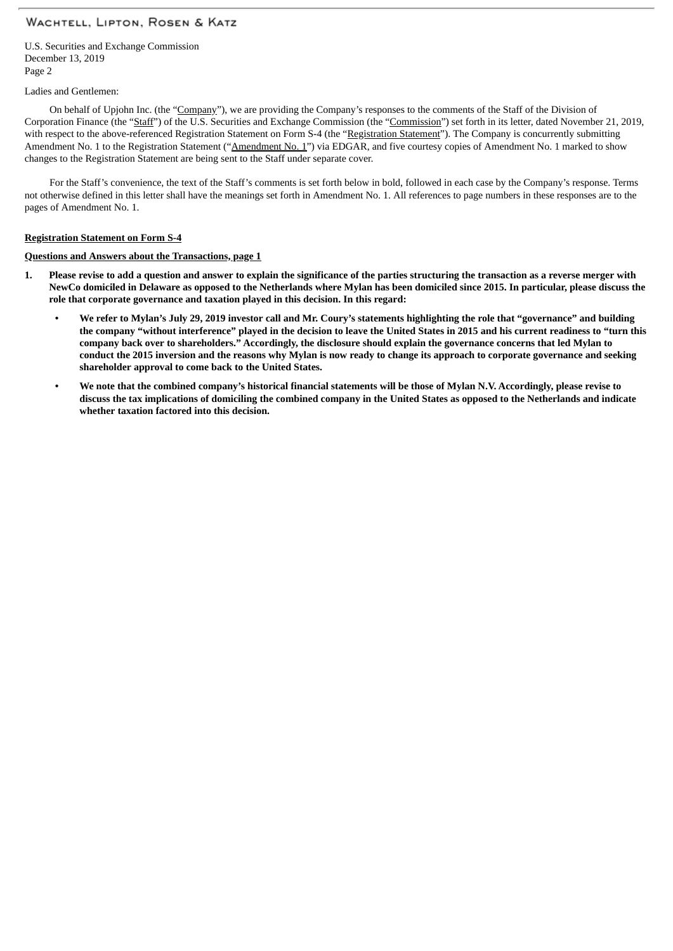U.S. Securities and Exchange Commission December 13, 2019 Page 2

#### Ladies and Gentlemen:

On behalf of Upjohn Inc. (the "Company"), we are providing the Company's responses to the comments of the Staff of the Division of Corporation Finance (the "Staff") of the U.S. Securities and Exchange Commission (the "Commission") set forth in its letter, dated November 21, 2019, with respect to the above-referenced Registration Statement on Form S-4 (the "Registration Statement"). The Company is concurrently submitting Amendment No. 1 to the Registration Statement ("Amendment No. 1") via EDGAR, and five courtesy copies of Amendment No. 1 marked to show changes to the Registration Statement are being sent to the Staff under separate cover.

For the Staff's convenience, the text of the Staff's comments is set forth below in bold, followed in each case by the Company's response. Terms not otherwise defined in this letter shall have the meanings set forth in Amendment No. 1. All references to page numbers in these responses are to the pages of Amendment No. 1.

#### **Registration Statement on Form S-4**

**Questions and Answers about the Transactions, page 1**

- 1. Please revise to add a question and answer to explain the significance of the parties structuring the transaction as a reverse merger with NewCo domiciled in Delaware as opposed to the Netherlands where Mylan has been domiciled since 2015. In particular, please discuss the **role that corporate governance and taxation played in this decision. In this regard:**
	- We refer to Mylan's July 29, 2019 investor call and Mr. Coury's statements highlighting the role that "governance" and building the company "without interference" played in the decision to leave the United States in 2015 and his current readiness to "turn this company back over to shareholders." Accordingly, the disclosure should explain the governance concerns that led Mylan to conduct the 2015 inversion and the reasons why Mylan is now ready to change its approach to corporate governance and seeking **shareholder approval to come back to the United States.**
	- We note that the combined company's historical financial statements will be those of Mylan N.V. Accordingly, please revise to discuss the tax implications of domiciling the combined company in the United States as opposed to the Netherlands and indicate **whether taxation factored into this decision.**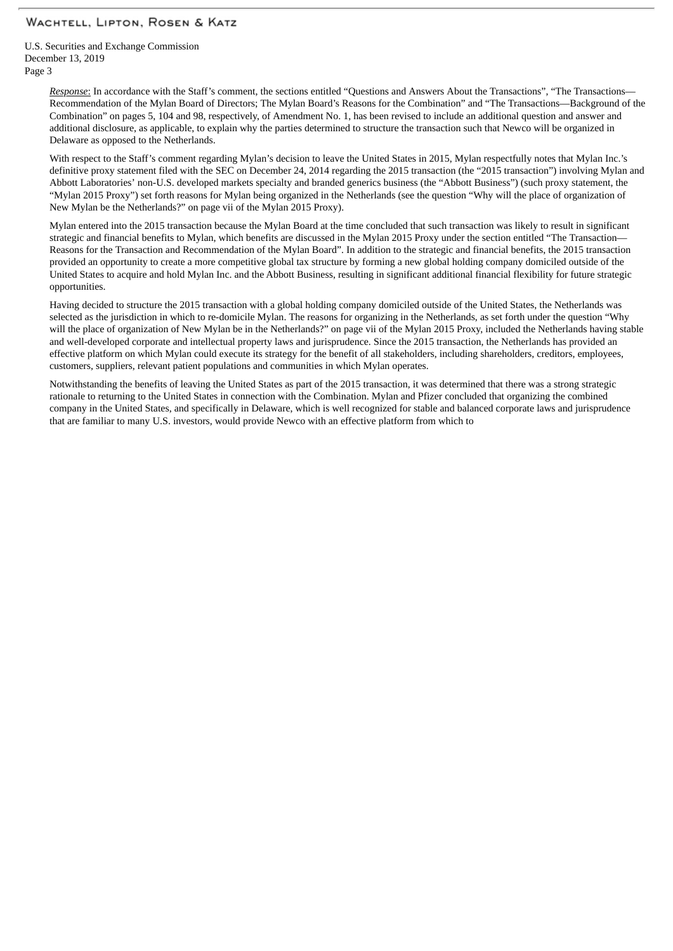U.S. Securities and Exchange Commission December 13, 2019 Page 3

> *Response*: In accordance with the Staff's comment, the sections entitled "Questions and Answers About the Transactions", "The Transactions— Recommendation of the Mylan Board of Directors; The Mylan Board's Reasons for the Combination" and "The Transactions—Background of the Combination" on pages 5, 104 and 98, respectively, of Amendment No. 1, has been revised to include an additional question and answer and additional disclosure, as applicable, to explain why the parties determined to structure the transaction such that Newco will be organized in Delaware as opposed to the Netherlands.

> With respect to the Staff's comment regarding Mylan's decision to leave the United States in 2015, Mylan respectfully notes that Mylan Inc.'s definitive proxy statement filed with the SEC on December 24, 2014 regarding the 2015 transaction (the "2015 transaction") involving Mylan and Abbott Laboratories' non-U.S. developed markets specialty and branded generics business (the "Abbott Business") (such proxy statement, the "Mylan 2015 Proxy") set forth reasons for Mylan being organized in the Netherlands (see the question "Why will the place of organization of New Mylan be the Netherlands?" on page vii of the Mylan 2015 Proxy).

Mylan entered into the 2015 transaction because the Mylan Board at the time concluded that such transaction was likely to result in significant strategic and financial benefits to Mylan, which benefits are discussed in the Mylan 2015 Proxy under the section entitled "The Transaction— Reasons for the Transaction and Recommendation of the Mylan Board". In addition to the strategic and financial benefits, the 2015 transaction provided an opportunity to create a more competitive global tax structure by forming a new global holding company domiciled outside of the United States to acquire and hold Mylan Inc. and the Abbott Business, resulting in significant additional financial flexibility for future strategic opportunities.

Having decided to structure the 2015 transaction with a global holding company domiciled outside of the United States, the Netherlands was selected as the jurisdiction in which to re-domicile Mylan. The reasons for organizing in the Netherlands, as set forth under the question "Why will the place of organization of New Mylan be in the Netherlands?" on page vii of the Mylan 2015 Proxy, included the Netherlands having stable and well-developed corporate and intellectual property laws and jurisprudence. Since the 2015 transaction, the Netherlands has provided an effective platform on which Mylan could execute its strategy for the benefit of all stakeholders, including shareholders, creditors, employees, customers, suppliers, relevant patient populations and communities in which Mylan operates.

Notwithstanding the benefits of leaving the United States as part of the 2015 transaction, it was determined that there was a strong strategic rationale to returning to the United States in connection with the Combination. Mylan and Pfizer concluded that organizing the combined company in the United States, and specifically in Delaware, which is well recognized for stable and balanced corporate laws and jurisprudence that are familiar to many U.S. investors, would provide Newco with an effective platform from which to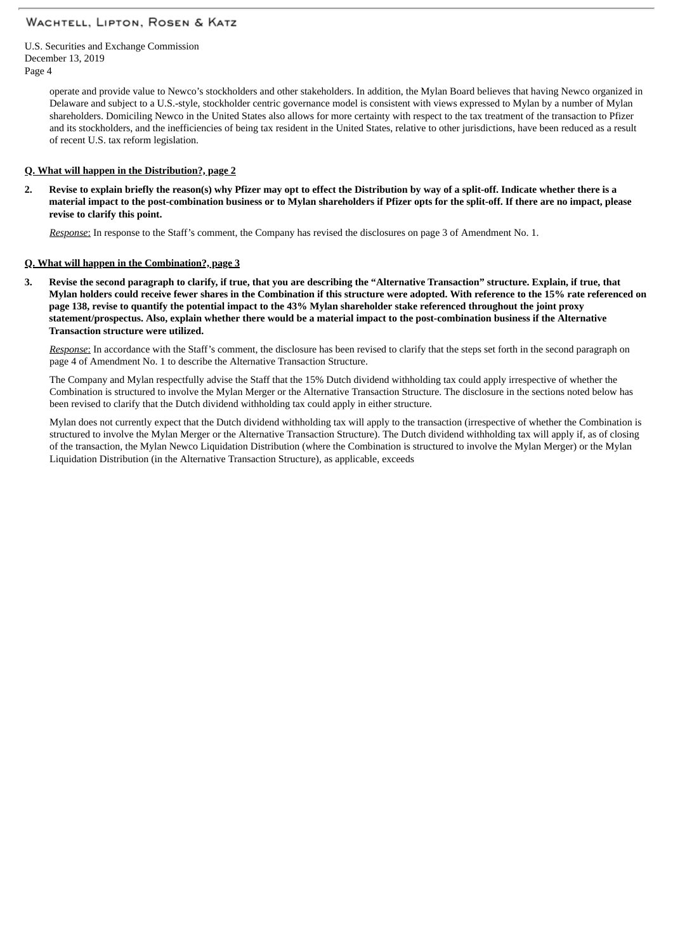U.S. Securities and Exchange Commission December 13, 2019 Page 4

> operate and provide value to Newco's stockholders and other stakeholders. In addition, the Mylan Board believes that having Newco organized in Delaware and subject to a U.S.-style, stockholder centric governance model is consistent with views expressed to Mylan by a number of Mylan shareholders. Domiciling Newco in the United States also allows for more certainty with respect to the tax treatment of the transaction to Pfizer and its stockholders, and the inefficiencies of being tax resident in the United States, relative to other jurisdictions, have been reduced as a result of recent U.S. tax reform legislation.

### **Q. What will happen in the Distribution?, page 2**

Revise to explain briefly the reason(s) why Pfizer may opt to effect the Distribution by way of a split-off. Indicate whether there is a material impact to the post-combination business or to Mylan shareholders if Pfizer opts for the split-off. If there are no impact, please **revise to clarify this point.**

*Response*: In response to the Staff's comment, the Company has revised the disclosures on page 3 of Amendment No. 1.

#### **Q. What will happen in the Combination?, page 3**

3. Revise the second paragraph to clarify, if true, that you are describing the "Alternative Transaction" structure. Explain, if true, that Mylan holders could receive fewer shares in the Combination if this structure were adopted. With reference to the 15% rate referenced on page 138, revise to quantify the potential impact to the 43% Mylan shareholder stake referenced throughout the joint proxy statement/prospectus. Also, explain whether there would be a material impact to the post-combination business if the Alternative **Transaction structure were utilized.**

*Response*: In accordance with the Staff's comment, the disclosure has been revised to clarify that the steps set forth in the second paragraph on page 4 of Amendment No. 1 to describe the Alternative Transaction Structure.

The Company and Mylan respectfully advise the Staff that the 15% Dutch dividend withholding tax could apply irrespective of whether the Combination is structured to involve the Mylan Merger or the Alternative Transaction Structure. The disclosure in the sections noted below has been revised to clarify that the Dutch dividend withholding tax could apply in either structure.

Mylan does not currently expect that the Dutch dividend withholding tax will apply to the transaction (irrespective of whether the Combination is structured to involve the Mylan Merger or the Alternative Transaction Structure). The Dutch dividend withholding tax will apply if, as of closing of the transaction, the Mylan Newco Liquidation Distribution (where the Combination is structured to involve the Mylan Merger) or the Mylan Liquidation Distribution (in the Alternative Transaction Structure), as applicable, exceeds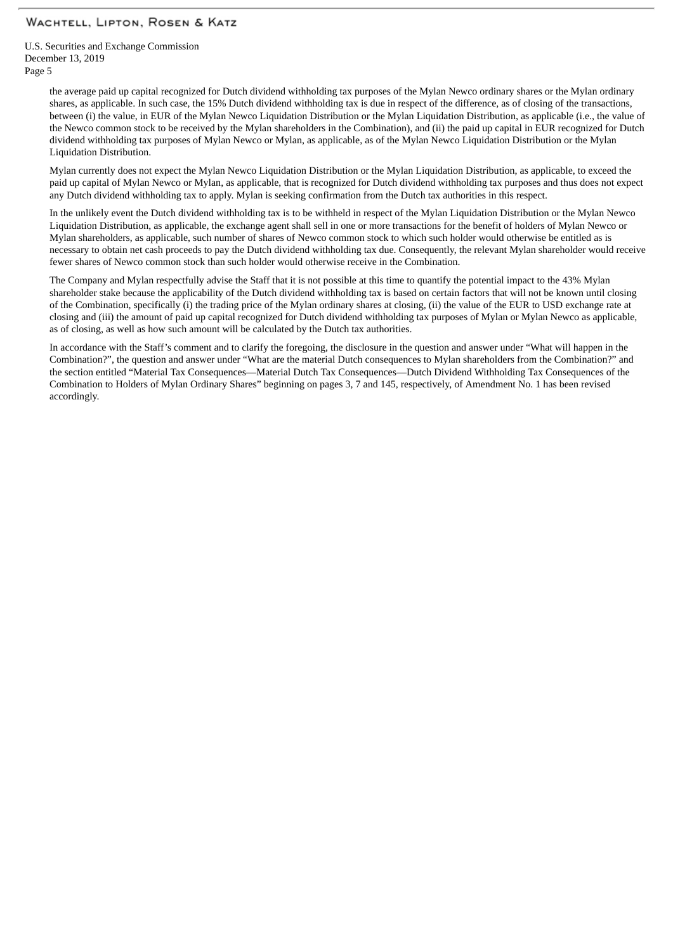U.S. Securities and Exchange Commission December 13, 2019 Page 5

> the average paid up capital recognized for Dutch dividend withholding tax purposes of the Mylan Newco ordinary shares or the Mylan ordinary shares, as applicable. In such case, the 15% Dutch dividend withholding tax is due in respect of the difference, as of closing of the transactions, between (i) the value, in EUR of the Mylan Newco Liquidation Distribution or the Mylan Liquidation Distribution, as applicable (i.e., the value of the Newco common stock to be received by the Mylan shareholders in the Combination), and (ii) the paid up capital in EUR recognized for Dutch dividend withholding tax purposes of Mylan Newco or Mylan, as applicable, as of the Mylan Newco Liquidation Distribution or the Mylan Liquidation Distribution.

> Mylan currently does not expect the Mylan Newco Liquidation Distribution or the Mylan Liquidation Distribution, as applicable, to exceed the paid up capital of Mylan Newco or Mylan, as applicable, that is recognized for Dutch dividend withholding tax purposes and thus does not expect any Dutch dividend withholding tax to apply. Mylan is seeking confirmation from the Dutch tax authorities in this respect.

> In the unlikely event the Dutch dividend withholding tax is to be withheld in respect of the Mylan Liquidation Distribution or the Mylan Newco Liquidation Distribution, as applicable, the exchange agent shall sell in one or more transactions for the benefit of holders of Mylan Newco or Mylan shareholders, as applicable, such number of shares of Newco common stock to which such holder would otherwise be entitled as is necessary to obtain net cash proceeds to pay the Dutch dividend withholding tax due. Consequently, the relevant Mylan shareholder would receive fewer shares of Newco common stock than such holder would otherwise receive in the Combination.

The Company and Mylan respectfully advise the Staff that it is not possible at this time to quantify the potential impact to the 43% Mylan shareholder stake because the applicability of the Dutch dividend withholding tax is based on certain factors that will not be known until closing of the Combination, specifically (i) the trading price of the Mylan ordinary shares at closing, (ii) the value of the EUR to USD exchange rate at closing and (iii) the amount of paid up capital recognized for Dutch dividend withholding tax purposes of Mylan or Mylan Newco as applicable, as of closing, as well as how such amount will be calculated by the Dutch tax authorities.

In accordance with the Staff's comment and to clarify the foregoing, the disclosure in the question and answer under "What will happen in the Combination?", the question and answer under "What are the material Dutch consequences to Mylan shareholders from the Combination?" and the section entitled "Material Tax Consequences—Material Dutch Tax Consequences—Dutch Dividend Withholding Tax Consequences of the Combination to Holders of Mylan Ordinary Shares" beginning on pages 3, 7 and 145, respectively, of Amendment No. 1 has been revised accordingly.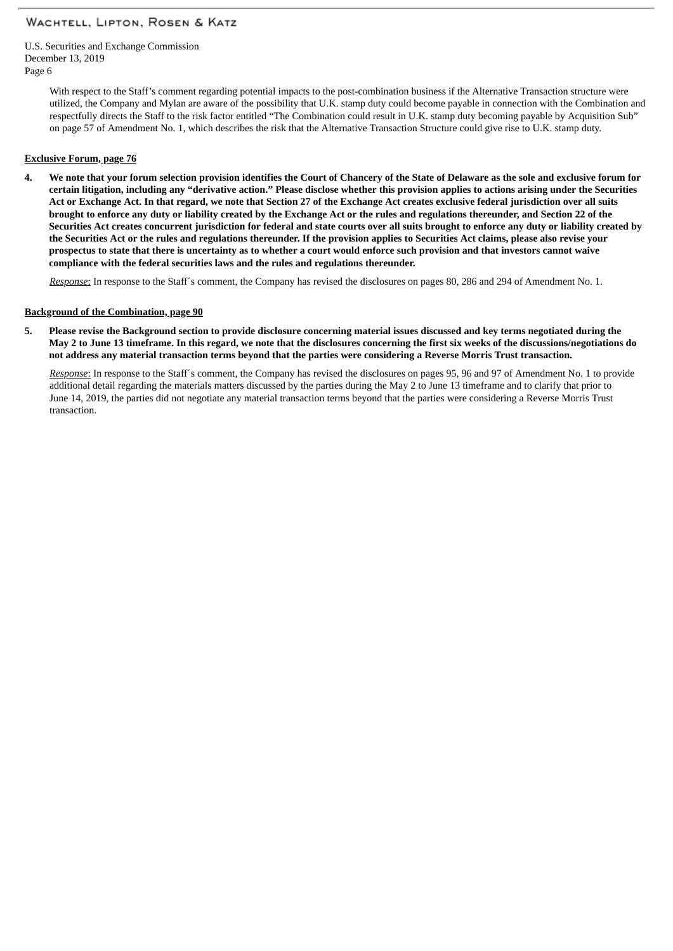U.S. Securities and Exchange Commission December 13, 2019 Page 6

> With respect to the Staff's comment regarding potential impacts to the post-combination business if the Alternative Transaction structure were utilized, the Company and Mylan are aware of the possibility that U.K. stamp duty could become payable in connection with the Combination and respectfully directs the Staff to the risk factor entitled "The Combination could result in U.K. stamp duty becoming payable by Acquisition Sub" on page 57 of Amendment No. 1, which describes the risk that the Alternative Transaction Structure could give rise to U.K. stamp duty.

#### **Exclusive Forum, page 76**

4. We note that your forum selection provision identifies the Court of Chancery of the State of Delaware as the sole and exclusive forum for certain litigation, including any "derivative action." Please disclose whether this provision applies to actions arising under the Securities Act or Exchange Act. In that regard, we note that Section 27 of the Exchange Act creates exclusive federal jurisdiction over all suits brought to enforce any duty or liability created by the Exchange Act or the rules and regulations thereunder, and Section 22 of the Securities Act creates concurrent jurisdiction for federal and state courts over all suits brought to enforce any duty or liability created by the Securities Act or the rules and regulations thereunder. If the provision applies to Securities Act claims, please also revise your prospectus to state that there is uncertainty as to whether a court would enforce such provision and that investors cannot waive **compliance with the federal securities laws and the rules and regulations thereunder.**

*Response*: In response to the Staff´s comment, the Company has revised the disclosures on pages 80, 286 and 294 of Amendment No. 1.

#### **Background of the Combination, page 90**

5. Please revise the Background section to provide disclosure concerning material issues discussed and key terms negotiated during the May 2 to June 13 timeframe. In this regard, we note that the disclosures concerning the first six weeks of the discussions/negotiations do not address any material transaction terms bevond that the parties were considering a Reverse Morris Trust transaction.

*Response*: In response to the Staff´s comment, the Company has revised the disclosures on pages 95, 96 and 97 of Amendment No. 1 to provide additional detail regarding the materials matters discussed by the parties during the May 2 to June 13 timeframe and to clarify that prior to June 14, 2019, the parties did not negotiate any material transaction terms beyond that the parties were considering a Reverse Morris Trust transaction.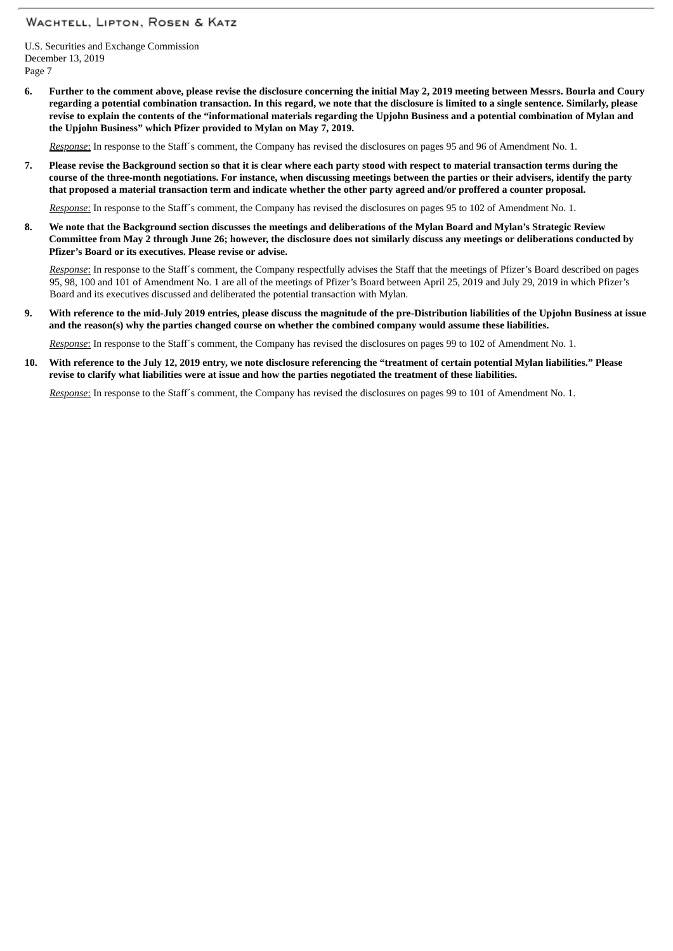U.S. Securities and Exchange Commission December 13, 2019 Page 7

6. Further to the comment above, please revise the disclosure concerning the initial May 2, 2019 meeting between Messrs. Bourla and Coury regarding a potential combination transaction. In this regard, we note that the disclosure is limited to a single sentence. Similarly, please revise to explain the contents of the "informational materials regarding the Upjohn Business and a potential combination of Mylan and **the Upjohn Business" which Pfizer provided to Mylan on May 7, 2019.**

*Response*: In response to the Staff´s comment, the Company has revised the disclosures on pages 95 and 96 of Amendment No. 1.

7. Please revise the Background section so that it is clear where each party stood with respect to material transaction terms during the course of the three-month negotiations. For instance, when discussing meetings between the parties or their advisers, identify the party that proposed a material transaction term and indicate whether the other party agreed and/or proffered a counter proposal.

*Response*: In response to the Staff´s comment, the Company has revised the disclosures on pages 95 to 102 of Amendment No. 1.

8. We note that the Background section discusses the meetings and deliberations of the Mylan Board and Mylan's Strategic Review Committee from May 2 through June 26; however, the disclosure does not similarly discuss any meetings or deliberations conducted by **Pfizer's Board or its executives. Please revise or advise.**

*Response*: In response to the Staff´s comment, the Company respectfully advises the Staff that the meetings of Pfizer's Board described on pages 95, 98, 100 and 101 of Amendment No. 1 are all of the meetings of Pfizer's Board between April 25, 2019 and July 29, 2019 in which Pfizer's Board and its executives discussed and deliberated the potential transaction with Mylan.

9. With reference to the mid-July 2019 entries, please discuss the magnitude of the pre-Distribution liabilities of the Upjohn Business at issue and the reason(s) why the parties changed course on whether the combined company would assume these liabilities.

*Response*: In response to the Staff´s comment, the Company has revised the disclosures on pages 99 to 102 of Amendment No. 1.

10. With reference to the July 12, 2019 entry, we note disclosure referencing the "treatment of certain potential Mylan liabilities." Please revise to clarify what liabilities were at issue and how the parties negotiated the treatment of these liabilities.

*Response*: In response to the Staff´s comment, the Company has revised the disclosures on pages 99 to 101 of Amendment No. 1.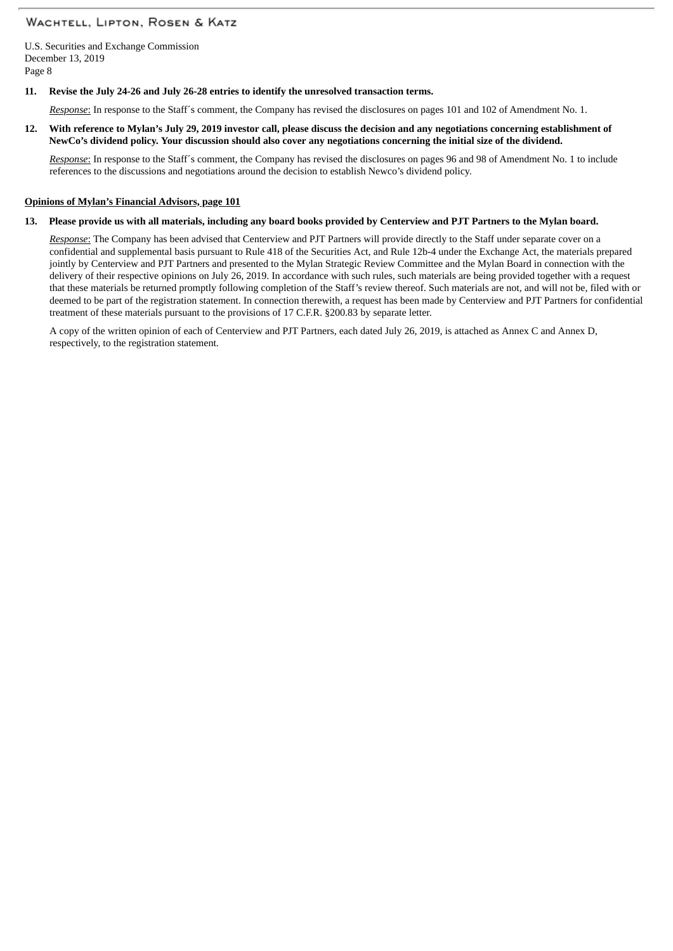U.S. Securities and Exchange Commission December 13, 2019 Page 8

#### **11. Revise the July 24-26 and July 26-28 entries to identify the unresolved transaction terms.**

*Response*: In response to the Staff´s comment, the Company has revised the disclosures on pages 101 and 102 of Amendment No. 1.

#### 12. With reference to Mylan's July 29, 2019 investor call, please discuss the decision and any negotiations concerning establishment of NewCo's dividend policy. Your discussion should also cover any negotiations concerning the initial size of the dividend.

*Response*: In response to the Staff´s comment, the Company has revised the disclosures on pages 96 and 98 of Amendment No. 1 to include references to the discussions and negotiations around the decision to establish Newco's dividend policy.

#### **Opinions of Mylan's Financial Advisors, page 101**

#### 13. Please provide us with all materials, including any board books provided by Centerview and PJT Partners to the Mylan board.

*Response*: The Company has been advised that Centerview and PJT Partners will provide directly to the Staff under separate cover on a confidential and supplemental basis pursuant to Rule 418 of the Securities Act, and Rule 12b-4 under the Exchange Act, the materials prepared jointly by Centerview and PJT Partners and presented to the Mylan Strategic Review Committee and the Mylan Board in connection with the delivery of their respective opinions on July 26, 2019. In accordance with such rules, such materials are being provided together with a request that these materials be returned promptly following completion of the Staff's review thereof. Such materials are not, and will not be, filed with or deemed to be part of the registration statement. In connection therewith, a request has been made by Centerview and PJT Partners for confidential treatment of these materials pursuant to the provisions of 17 C.F.R. §200.83 by separate letter.

A copy of the written opinion of each of Centerview and PJT Partners, each dated July 26, 2019, is attached as Annex C and Annex D, respectively, to the registration statement.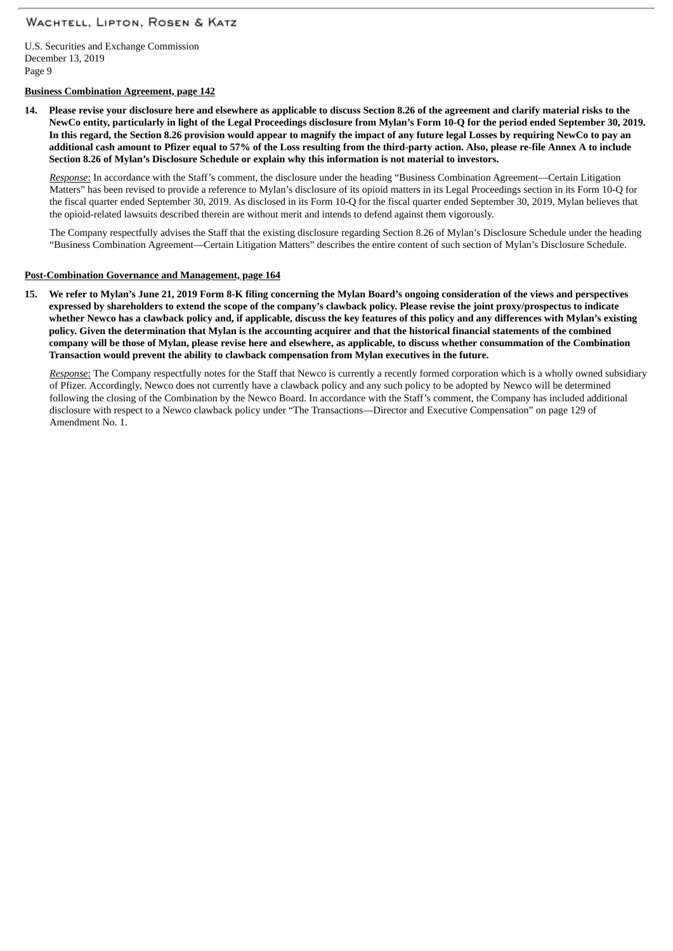U.S. Securities and Exchange Commission December 13, 2019 Page 9

### **Business Combination Agreement, page 142**

14. Please revise your disclosure here and elsewhere as applicable to discuss Section 8.26 of the agreement and clarify material risks to the NewCo entity, particularly in light of the Legal Proceedings disclosure from Mylan's Form 10-Q for the period ended September 30, 2019. In this regard, the Section 8.26 provision would appear to magnify the impact of any future legal Losses by requiring NewCo to pay an additional cash amount to Pfizer equal to 57% of the Loss resulting from the third-party action. Also, please re-file Annex A to include **Section 8.26 of Mylan's Disclosure Schedule or explain why this information is not material to investors.**

*Response*: In accordance with the Staff's comment, the disclosure under the heading "Business Combination Agreement—Certain Litigation Matters" has been revised to provide a reference to Mylan's disclosure of its opioid matters in its Legal Proceedings section in its Form 10-Q for the fiscal quarter ended September 30, 2019. As disclosed in its Form 10-Q for the fiscal quarter ended September 30, 2019, Mylan believes that the opioid-related lawsuits described therein are without merit and intends to defend against them vigorously.

The Company respectfully advises the Staff that the existing disclosure regarding Section 8.26 of Mylan's Disclosure Schedule under the heading "Business Combination Agreement—Certain Litigation Matters" describes the entire content of such section of Mylan's Disclosure Schedule.

#### **Post-Combination Governance and Management, page 164**

15. We refer to Mylan's June 21, 2019 Form 8-K filing concerning the Mylan Board's ongoing consideration of the views and perspectives expressed by shareholders to extend the scope of the company's clawback policy. Please revise the joint proxy/prospectus to indicate whether Newco has a clawback policy and, if applicable, discuss the key features of this policy and any differences with Mylan's existing policy. Given the determination that Mylan is the accounting acquirer and that the historical financial statements of the combined company will be those of Mylan, please revise here and elsewhere, as applicable, to discuss whether consummation of the Combination **Transaction would prevent the ability to clawback compensation from Mylan executives in the future.**

*Response*: The Company respectfully notes for the Staff that Newco is currently a recently formed corporation which is a wholly owned subsidiary of Pfizer. Accordingly, Newco does not currently have a clawback policy and any such policy to be adopted by Newco will be determined following the closing of the Combination by the Newco Board. In accordance with the Staff's comment, the Company has included additional disclosure with respect to a Newco clawback policy under "The Transactions—Director and Executive Compensation" on page 129 of Amendment No. 1.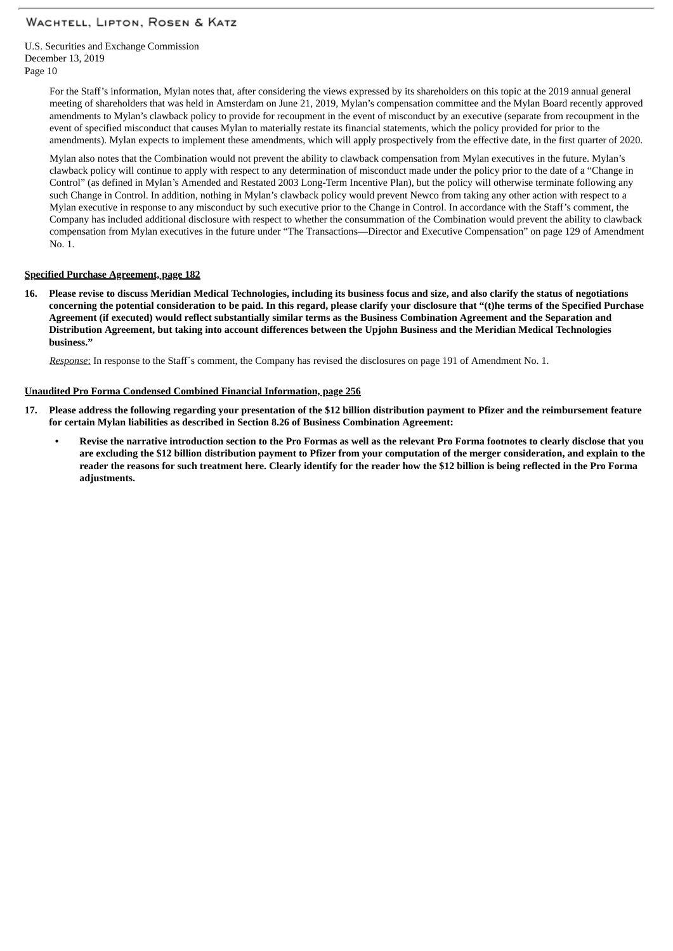U.S. Securities and Exchange Commission December 13, 2019 Page 10

> For the Staff's information, Mylan notes that, after considering the views expressed by its shareholders on this topic at the 2019 annual general meeting of shareholders that was held in Amsterdam on June 21, 2019, Mylan's compensation committee and the Mylan Board recently approved amendments to Mylan's clawback policy to provide for recoupment in the event of misconduct by an executive (separate from recoupment in the event of specified misconduct that causes Mylan to materially restate its financial statements, which the policy provided for prior to the amendments). Mylan expects to implement these amendments, which will apply prospectively from the effective date, in the first quarter of 2020.

> Mylan also notes that the Combination would not prevent the ability to clawback compensation from Mylan executives in the future. Mylan's clawback policy will continue to apply with respect to any determination of misconduct made under the policy prior to the date of a "Change in Control" (as defined in Mylan's Amended and Restated 2003 Long-Term Incentive Plan), but the policy will otherwise terminate following any such Change in Control. In addition, nothing in Mylan's clawback policy would prevent Newco from taking any other action with respect to a Mylan executive in response to any misconduct by such executive prior to the Change in Control. In accordance with the Staff's comment, the Company has included additional disclosure with respect to whether the consummation of the Combination would prevent the ability to clawback compensation from Mylan executives in the future under "The Transactions—Director and Executive Compensation" on page 129 of Amendment No. 1.

#### **Specified Purchase Agreement, page 182**

16. Please revise to discuss Meridian Medical Technologies, including its business focus and size, and also clarify the status of negotiations concerning the potential consideration to be paid. In this regard, please clarify your disclosure that "(t)he terms of the Specified Purchase Agreement (if executed) would reflect substantially similar terms as the Business Combination Agreement and the Separation and Distribution Agreement, but taking into account differences between the Upjohn Business and the Meridian Medical Technologies **business."**

*Response*: In response to the Staff´s comment, the Company has revised the disclosures on page 191 of Amendment No. 1.

#### **Unaudited Pro Forma Condensed Combined Financial Information, page 256**

- 17. Please address the following regarding your presentation of the \$12 billion distribution payment to Pfizer and the reimbursement feature **for certain Mylan liabilities as described in Section 8.26 of Business Combination Agreement:**
	- Revise the narrative introduction section to the Pro Formas as well as the relevant Pro Forma footnotes to clearly disclose that you are excluding the \$12 billion distribution payment to Pfizer from your computation of the merger consideration, and explain to the reader the reasons for such treatment here. Clearly identify for the reader how the \$12 billion is being reflected in the Pro Forma **adjustments.**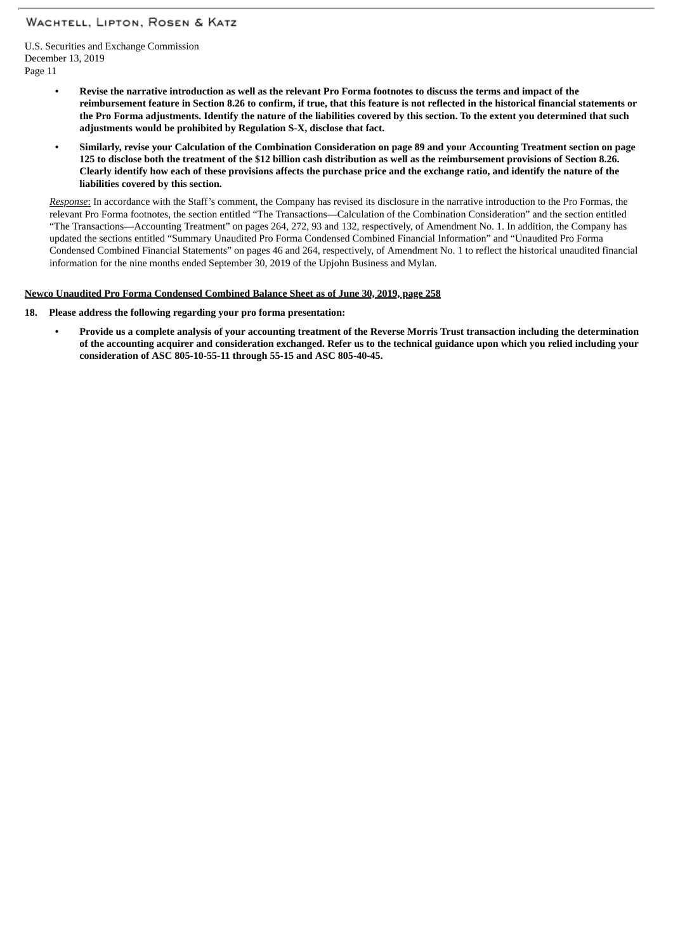U.S. Securities and Exchange Commission December 13, 2019 Page 11

- Revise the narrative introduction as well as the relevant Pro Forma footnotes to discuss the terms and impact of the reimbursement feature in Section 8.26 to confirm, if true, that this feature is not reflected in the historical financial statements or the Pro Forma adjustments. Identify the nature of the liabilities covered by this section. To the extent you determined that such **adjustments would be prohibited by Regulation S-X, disclose that fact.**
- Similarly, revise your Calculation of the Combination Consideration on page 89 and your Accounting Treatment section on page 125 to disclose both the treatment of the \$12 billion cash distribution as well as the reimbursement provisions of Section 8.26. Clearly identify how each of these provisions affects the purchase price and the exchange ratio, and identify the nature of the **liabilities covered by this section.**

*Response*: In accordance with the Staff's comment, the Company has revised its disclosure in the narrative introduction to the Pro Formas, the relevant Pro Forma footnotes, the section entitled "The Transactions—Calculation of the Combination Consideration" and the section entitled "The Transactions—Accounting Treatment" on pages 264, 272, 93 and 132, respectively, of Amendment No. 1. In addition, the Company has updated the sections entitled "Summary Unaudited Pro Forma Condensed Combined Financial Information" and "Unaudited Pro Forma Condensed Combined Financial Statements" on pages 46 and 264, respectively, of Amendment No. 1 to reflect the historical unaudited financial information for the nine months ended September 30, 2019 of the Upjohn Business and Mylan.

## **Newco Unaudited Pro Forma Condensed Combined Balance Sheet as of June 30, 2019, page 258**

## **18. Please address the following regarding your pro forma presentation:**

Provide us a complete analysis of your accounting treatment of the Reverse Morris Trust transaction including the determination of the accounting acquirer and consideration exchanged. Refer us to the technical guidance upon which you relied including your **consideration of ASC 805-10-55-11 through 55-15 and ASC 805-40-45.**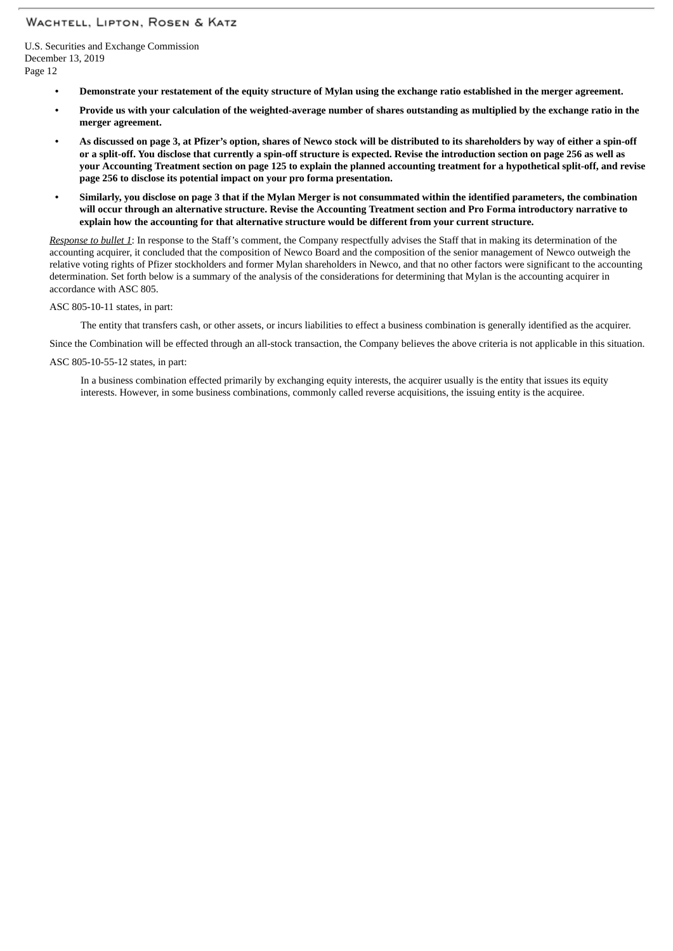U.S. Securities and Exchange Commission December 13, 2019 Page 12

- Demonstrate your restatement of the equity structure of Mylan using the exchange ratio established in the merger agreement.
- Provide us with your calculation of the weighted-average number of shares outstanding as multiplied by the exchange ratio in the **merger agreement.**
- As discussed on page 3, at Pfizer's option, shares of Newco stock will be distributed to its shareholders by way of either a spin-off or a split-off. You disclose that currently a spin-off structure is expected. Revise the introduction section on page 256 as well as your Accounting Treatment section on page 125 to explain the planned accounting treatment for a hypothetical split-off, and revise **page 256 to disclose its potential impact on your pro forma presentation.**
- Similarly, you disclose on page 3 that if the Mylan Merger is not consummated within the identified parameters, the combination will occur through an alternative structure. Revise the Accounting Treatment section and Pro Forma introductory narrative to **explain how the accounting for that alternative structure would be different from your current structure.**

*Response to bullet 1*: In response to the Staff's comment, the Company respectfully advises the Staff that in making its determination of the accounting acquirer, it concluded that the composition of Newco Board and the composition of the senior management of Newco outweigh the relative voting rights of Pfizer stockholders and former Mylan shareholders in Newco, and that no other factors were significant to the accounting determination. Set forth below is a summary of the analysis of the considerations for determining that Mylan is the accounting acquirer in accordance with ASC 805.

ASC 805-10-11 states, in part:

The entity that transfers cash, or other assets, or incurs liabilities to effect a business combination is generally identified as the acquirer.

Since the Combination will be effected through an all-stock transaction, the Company believes the above criteria is not applicable in this situation.

ASC 805-10-55-12 states, in part:

In a business combination effected primarily by exchanging equity interests, the acquirer usually is the entity that issues its equity interests. However, in some business combinations, commonly called reverse acquisitions, the issuing entity is the acquiree.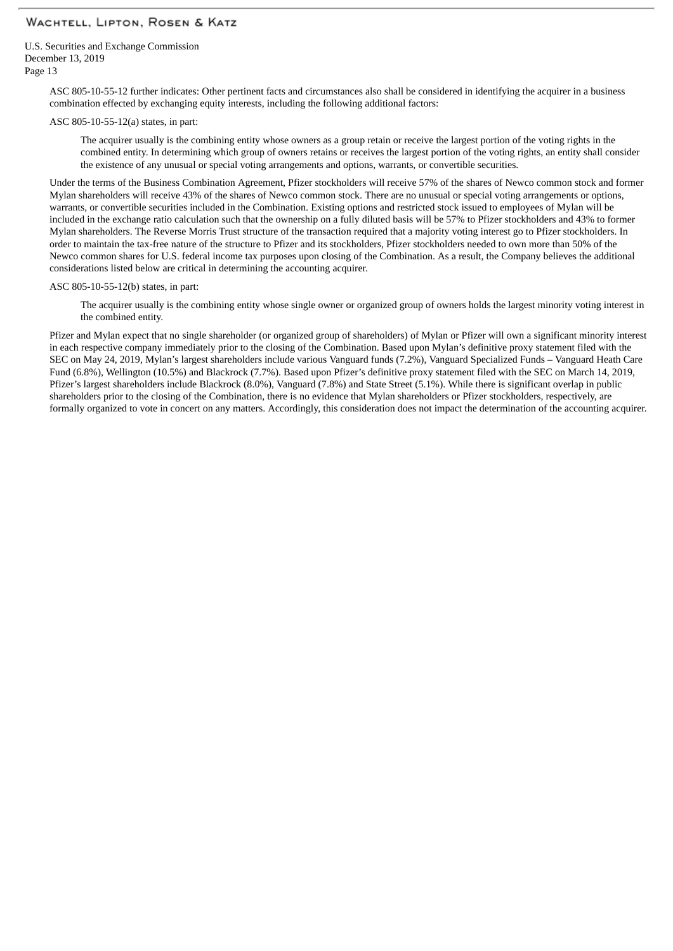U.S. Securities and Exchange Commission December 13, 2019 Page 13

> ASC 805-10-55-12 further indicates: Other pertinent facts and circumstances also shall be considered in identifying the acquirer in a business combination effected by exchanging equity interests, including the following additional factors:

#### ASC 805-10-55-12(a) states, in part:

The acquirer usually is the combining entity whose owners as a group retain or receive the largest portion of the voting rights in the combined entity. In determining which group of owners retains or receives the largest portion of the voting rights, an entity shall consider the existence of any unusual or special voting arrangements and options, warrants, or convertible securities.

Under the terms of the Business Combination Agreement, Pfizer stockholders will receive 57% of the shares of Newco common stock and former Mylan shareholders will receive 43% of the shares of Newco common stock. There are no unusual or special voting arrangements or options, warrants, or convertible securities included in the Combination. Existing options and restricted stock issued to employees of Mylan will be included in the exchange ratio calculation such that the ownership on a fully diluted basis will be 57% to Pfizer stockholders and 43% to former Mylan shareholders. The Reverse Morris Trust structure of the transaction required that a majority voting interest go to Pfizer stockholders. In order to maintain the tax-free nature of the structure to Pfizer and its stockholders, Pfizer stockholders needed to own more than 50% of the Newco common shares for U.S. federal income tax purposes upon closing of the Combination. As a result, the Company believes the additional considerations listed below are critical in determining the accounting acquirer.

#### ASC 805-10-55-12(b) states, in part:

The acquirer usually is the combining entity whose single owner or organized group of owners holds the largest minority voting interest in the combined entity.

Pfizer and Mylan expect that no single shareholder (or organized group of shareholders) of Mylan or Pfizer will own a significant minority interest in each respective company immediately prior to the closing of the Combination. Based upon Mylan's definitive proxy statement filed with the SEC on May 24, 2019, Mylan's largest shareholders include various Vanguard funds (7.2%), Vanguard Specialized Funds – Vanguard Heath Care Fund (6.8%), Wellington (10.5%) and Blackrock (7.7%). Based upon Pfizer's definitive proxy statement filed with the SEC on March 14, 2019, Pfizer's largest shareholders include Blackrock (8.0%), Vanguard (7.8%) and State Street (5.1%). While there is significant overlap in public shareholders prior to the closing of the Combination, there is no evidence that Mylan shareholders or Pfizer stockholders, respectively, are formally organized to vote in concert on any matters. Accordingly, this consideration does not impact the determination of the accounting acquirer.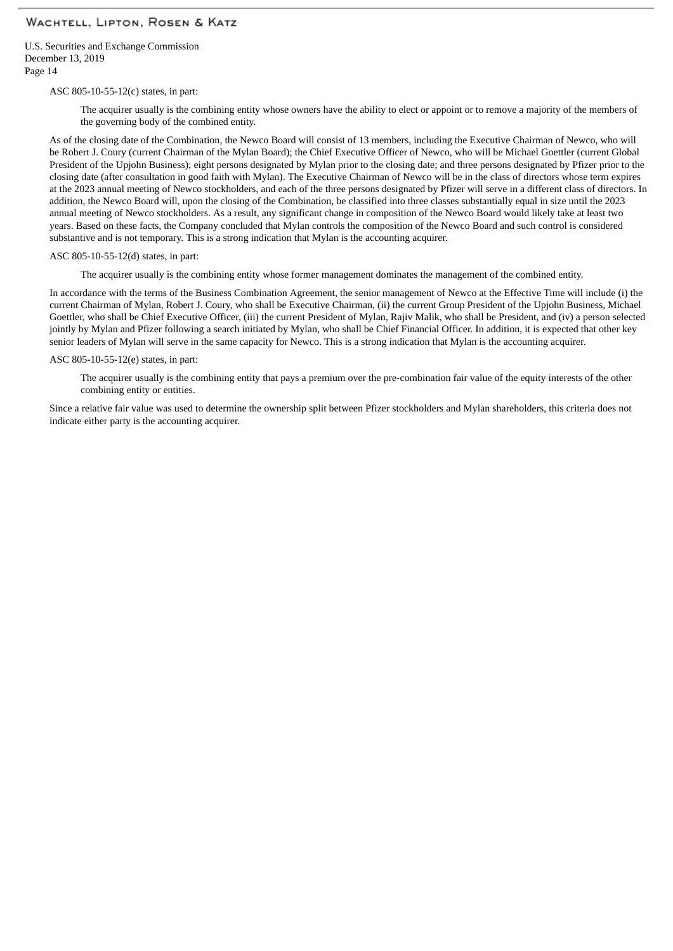U.S. Securities and Exchange Commission December 13, 2019 Page 14

ASC 805-10-55-12(c) states, in part:

The acquirer usually is the combining entity whose owners have the ability to elect or appoint or to remove a majority of the members of the governing body of the combined entity.

As of the closing date of the Combination, the Newco Board will consist of 13 members, including the Executive Chairman of Newco, who will be Robert J. Coury (current Chairman of the Mylan Board); the Chief Executive Officer of Newco, who will be Michael Goettler (current Global President of the Upjohn Business); eight persons designated by Mylan prior to the closing date; and three persons designated by Pfizer prior to the closing date (after consultation in good faith with Mylan). The Executive Chairman of Newco will be in the class of directors whose term expires at the 2023 annual meeting of Newco stockholders, and each of the three persons designated by Pfizer will serve in a different class of directors. In addition, the Newco Board will, upon the closing of the Combination, be classified into three classes substantially equal in size until the 2023 annual meeting of Newco stockholders. As a result, any significant change in composition of the Newco Board would likely take at least two years. Based on these facts, the Company concluded that Mylan controls the composition of the Newco Board and such control is considered substantive and is not temporary. This is a strong indication that Mylan is the accounting acquirer.

ASC 805-10-55-12(d) states, in part:

The acquirer usually is the combining entity whose former management dominates the management of the combined entity.

In accordance with the terms of the Business Combination Agreement, the senior management of Newco at the Effective Time will include (i) the current Chairman of Mylan, Robert J. Coury, who shall be Executive Chairman, (ii) the current Group President of the Upjohn Business, Michael Goettler, who shall be Chief Executive Officer, (iii) the current President of Mylan, Rajiv Malik, who shall be President, and (iv) a person selected jointly by Mylan and Pfizer following a search initiated by Mylan, who shall be Chief Financial Officer. In addition, it is expected that other key senior leaders of Mylan will serve in the same capacity for Newco. This is a strong indication that Mylan is the accounting acquirer.

#### ASC 805-10-55-12(e) states, in part:

The acquirer usually is the combining entity that pays a premium over the pre-combination fair value of the equity interests of the other combining entity or entities.

Since a relative fair value was used to determine the ownership split between Pfizer stockholders and Mylan shareholders, this criteria does not indicate either party is the accounting acquirer.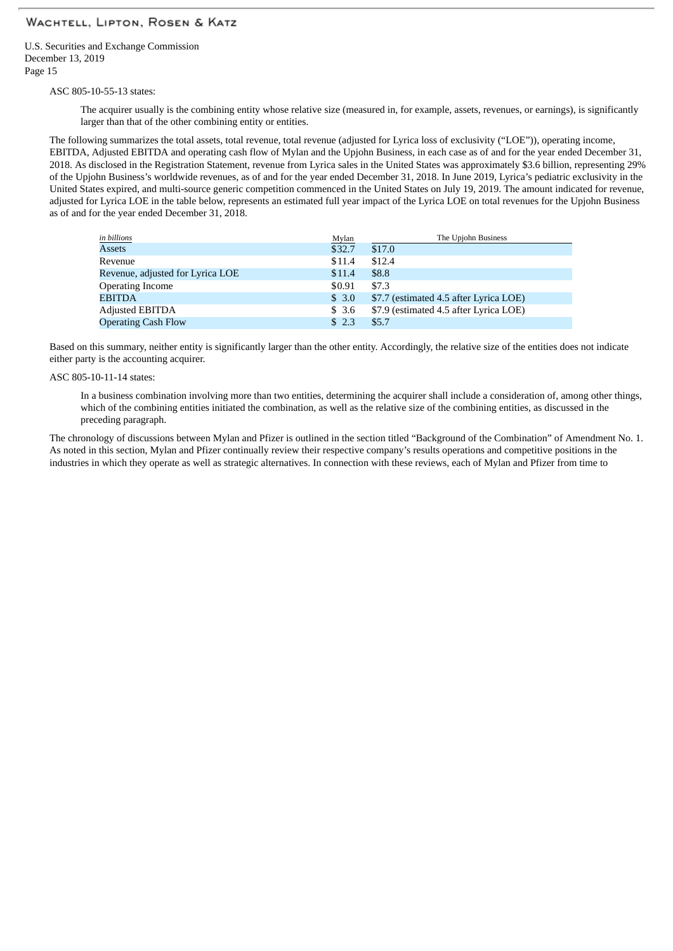U.S. Securities and Exchange Commission December 13, 2019 Page 15

ASC 805-10-55-13 states:

The acquirer usually is the combining entity whose relative size (measured in, for example, assets, revenues, or earnings), is significantly larger than that of the other combining entity or entities.

The following summarizes the total assets, total revenue, total revenue (adjusted for Lyrica loss of exclusivity ("LOE")), operating income, EBITDA, Adjusted EBITDA and operating cash flow of Mylan and the Upjohn Business, in each case as of and for the year ended December 31, 2018. As disclosed in the Registration Statement, revenue from Lyrica sales in the United States was approximately \$3.6 billion, representing 29% of the Upjohn Business's worldwide revenues, as of and for the year ended December 31, 2018. In June 2019, Lyrica's pediatric exclusivity in the United States expired, and multi-source generic competition commenced in the United States on July 19, 2019. The amount indicated for revenue, adjusted for Lyrica LOE in the table below, represents an estimated full year impact of the Lyrica LOE on total revenues for the Upjohn Business as of and for the year ended December 31, 2018.

| in billions                      | Mylan  | The Upjohn Business                    |
|----------------------------------|--------|----------------------------------------|
| <b>Assets</b>                    | \$32.7 | \$17.0                                 |
| Revenue                          | \$11.4 | \$12.4                                 |
| Revenue, adjusted for Lyrica LOE | \$11.4 | \$8.8                                  |
| <b>Operating Income</b>          | \$0.91 | \$7.3                                  |
| <b>EBITDA</b>                    | \$3.0  | \$7.7 (estimated 4.5 after Lyrica LOE) |
| <b>Adjusted EBITDA</b>           | \$3.6  | \$7.9 (estimated 4.5 after Lyrica LOE) |
| <b>Operating Cash Flow</b>       | \$2.3  | \$5.7                                  |

Based on this summary, neither entity is significantly larger than the other entity. Accordingly, the relative size of the entities does not indicate either party is the accounting acquirer.

ASC 805-10-11-14 states:

In a business combination involving more than two entities, determining the acquirer shall include a consideration of, among other things, which of the combining entities initiated the combination, as well as the relative size of the combining entities, as discussed in the preceding paragraph.

The chronology of discussions between Mylan and Pfizer is outlined in the section titled "Background of the Combination" of Amendment No. 1. As noted in this section, Mylan and Pfizer continually review their respective company's results operations and competitive positions in the industries in which they operate as well as strategic alternatives. In connection with these reviews, each of Mylan and Pfizer from time to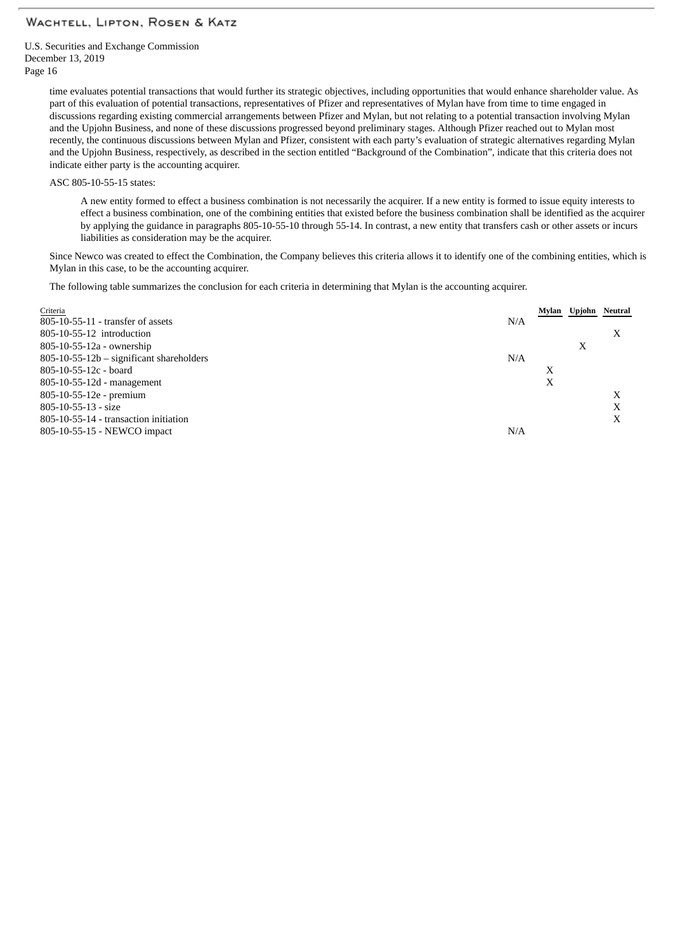U.S. Securities and Exchange Commission December 13, 2019 Page 16

> time evaluates potential transactions that would further its strategic objectives, including opportunities that would enhance shareholder value. As part of this evaluation of potential transactions, representatives of Pfizer and representatives of Mylan have from time to time engaged in discussions regarding existing commercial arrangements between Pfizer and Mylan, but not relating to a potential transaction involving Mylan and the Upjohn Business, and none of these discussions progressed beyond preliminary stages. Although Pfizer reached out to Mylan most recently, the continuous discussions between Mylan and Pfizer, consistent with each party's evaluation of strategic alternatives regarding Mylan and the Upjohn Business, respectively, as described in the section entitled "Background of the Combination", indicate that this criteria does not indicate either party is the accounting acquirer.

ASC 805-10-55-15 states:

A new entity formed to effect a business combination is not necessarily the acquirer. If a new entity is formed to issue equity interests to effect a business combination, one of the combining entities that existed before the business combination shall be identified as the acquirer by applying the guidance in paragraphs 805-10-55-10 through 55-14. In contrast, a new entity that transfers cash or other assets or incurs liabilities as consideration may be the acquirer.

Since Newco was created to effect the Combination, the Company believes this criteria allows it to identify one of the combining entities, which is Mylan in this case, to be the accounting acquirer.

The following table summarizes the conclusion for each criteria in determining that Mylan is the accounting acquirer.

| Criteria                                 |     | Mylan | Upjohn Neutral |   |
|------------------------------------------|-----|-------|----------------|---|
| 805-10-55-11 - transfer of assets        | N/A |       |                |   |
| 805-10-55-12 introduction                |     |       |                | X |
| 805-10-55-12a - ownership                |     |       | Х              |   |
| 805-10-55-12b - significant shareholders | N/A |       |                |   |
| 805-10-55-12c - board                    |     | Х     |                |   |
| 805-10-55-12d - management               |     | X     |                |   |
| 805-10-55-12e - premium                  |     |       |                | X |
| 805-10-55-13 - size                      |     |       |                | X |
| 805-10-55-14 - transaction initiation    |     |       |                | X |
| 805-10-55-15 - NEWCO impact              | N/A |       |                |   |
|                                          |     |       |                |   |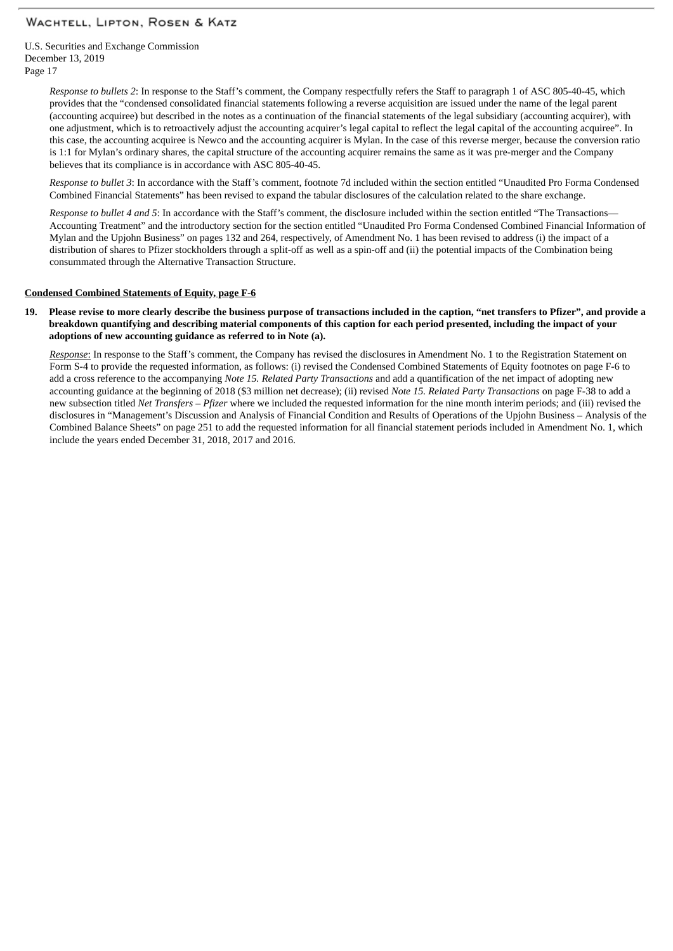U.S. Securities and Exchange Commission December 13, 2019 Page 17

> *Response to bullets 2*: In response to the Staff's comment, the Company respectfully refers the Staff to paragraph 1 of ASC 805-40-45, which provides that the "condensed consolidated financial statements following a reverse acquisition are issued under the name of the legal parent (accounting acquiree) but described in the notes as a continuation of the financial statements of the legal subsidiary (accounting acquirer), with one adjustment, which is to retroactively adjust the accounting acquirer's legal capital to reflect the legal capital of the accounting acquiree". In this case, the accounting acquiree is Newco and the accounting acquirer is Mylan. In the case of this reverse merger, because the conversion ratio is 1:1 for Mylan's ordinary shares, the capital structure of the accounting acquirer remains the same as it was pre-merger and the Company believes that its compliance is in accordance with ASC 805-40-45.

> *Response to bullet 3*: In accordance with the Staff's comment, footnote 7d included within the section entitled "Unaudited Pro Forma Condensed Combined Financial Statements" has been revised to expand the tabular disclosures of the calculation related to the share exchange.

> *Response to bullet 4 and 5*: In accordance with the Staff's comment, the disclosure included within the section entitled "The Transactions— Accounting Treatment" and the introductory section for the section entitled "Unaudited Pro Forma Condensed Combined Financial Information of Mylan and the Upjohn Business" on pages 132 and 264, respectively, of Amendment No. 1 has been revised to address (i) the impact of a distribution of shares to Pfizer stockholders through a split-off as well as a spin-off and (ii) the potential impacts of the Combination being consummated through the Alternative Transaction Structure.

### **Condensed Combined Statements of Equity, page F-6**

#### 19. Please revise to more clearly describe the business purpose of transactions included in the caption, "net transfers to Pfizer", and provide a breakdown quantifying and describing material components of this caption for each period presented, including the impact of your **adoptions of new accounting guidance as referred to in Note (a).**

*Response*: In response to the Staff's comment, the Company has revised the disclosures in Amendment No. 1 to the Registration Statement on Form S-4 to provide the requested information, as follows: (i) revised the Condensed Combined Statements of Equity footnotes on page F-6 to add a cross reference to the accompanying *Note 15. Related Party Transactions* and add a quantification of the net impact of adopting new accounting guidance at the beginning of 2018 (\$3 million net decrease); (ii) revised *Note 15. Related Party Transactions* on page F-38 to add a new subsection titled *Net Transfers – Pfizer* where we included the requested information for the nine month interim periods; and (iii) revised the disclosures in "Management's Discussion and Analysis of Financial Condition and Results of Operations of the Upjohn Business – Analysis of the Combined Balance Sheets" on page 251 to add the requested information for all financial statement periods included in Amendment No. 1, which include the years ended December 31, 2018, 2017 and 2016.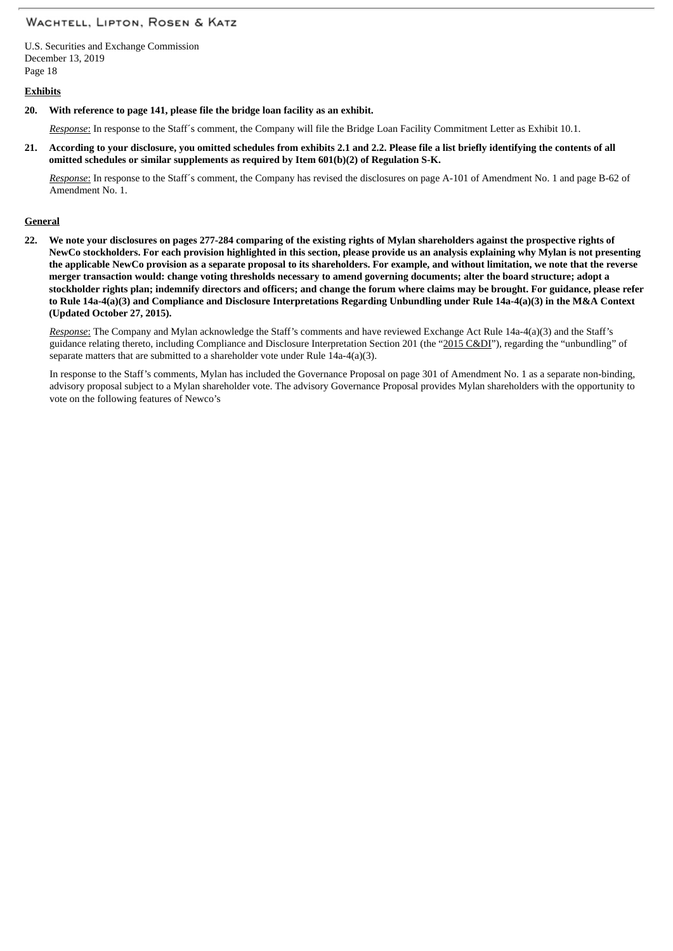U.S. Securities and Exchange Commission December 13, 2019 Page 18

### **Exhibits**

**20. With reference to page 141, please file the bridge loan facility as an exhibit.**

*Response*: In response to the Staff´s comment, the Company will file the Bridge Loan Facility Commitment Letter as Exhibit 10.1.

21. According to your disclosure, you omitted schedules from exhibits 2.1 and 2.2. Please file a list briefly identifying the contents of all **omitted schedules or similar supplements as required by Item 601(b)(2) of Regulation S-K.**

*Response*: In response to the Staff´s comment, the Company has revised the disclosures on page A-101 of Amendment No. 1 and page B-62 of Amendment No. 1.

#### **General**

22. We note your disclosures on pages 277-284 comparing of the existing rights of Mylan shareholders against the prospective rights of NewCo stockholders. For each provision highlighted in this section, please provide us an analysis explaining why Mylan is not presenting the applicable NewCo provision as a separate proposal to its shareholders. For example, and without limitation, we note that the reverse merger transaction would: change voting thresholds necessary to amend governing documents; alter the board structure; adopt a stockholder rights plan; indemnify directors and officers; and change the forum where claims may be brought. For guidance, please refer to Rule 14a-4(a)(3) and Compliance and Disclosure Interpretations Regarding Unbundling under Rule 14a-4(a)(3) in the M&A Context **(Updated October 27, 2015).**

*Response*: The Company and Mylan acknowledge the Staff's comments and have reviewed Exchange Act Rule 14a-4(a)(3) and the Staff's guidance relating thereto, including Compliance and Disclosure Interpretation Section 201 (the "2015 C&DI"), regarding the "unbundling" of separate matters that are submitted to a shareholder vote under Rule 14a-4(a)(3).

In response to the Staff's comments, Mylan has included the Governance Proposal on page 301 of Amendment No. 1 as a separate non-binding, advisory proposal subject to a Mylan shareholder vote. The advisory Governance Proposal provides Mylan shareholders with the opportunity to vote on the following features of Newco's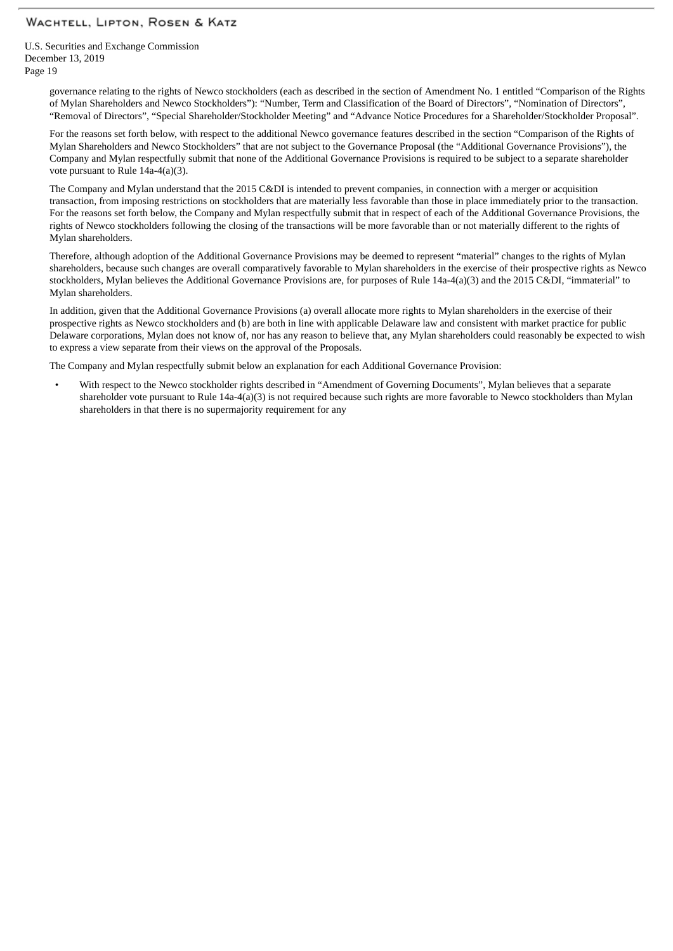U.S. Securities and Exchange Commission December 13, 2019 Page 19

> governance relating to the rights of Newco stockholders (each as described in the section of Amendment No. 1 entitled "Comparison of the Rights of Mylan Shareholders and Newco Stockholders"): "Number, Term and Classification of the Board of Directors", "Nomination of Directors", "Removal of Directors", "Special Shareholder/Stockholder Meeting" and "Advance Notice Procedures for a Shareholder/Stockholder Proposal".

For the reasons set forth below, with respect to the additional Newco governance features described in the section "Comparison of the Rights of Mylan Shareholders and Newco Stockholders" that are not subject to the Governance Proposal (the "Additional Governance Provisions"), the Company and Mylan respectfully submit that none of the Additional Governance Provisions is required to be subject to a separate shareholder vote pursuant to Rule 14a-4(a)(3).

The Company and Mylan understand that the 2015 C&DI is intended to prevent companies, in connection with a merger or acquisition transaction, from imposing restrictions on stockholders that are materially less favorable than those in place immediately prior to the transaction. For the reasons set forth below, the Company and Mylan respectfully submit that in respect of each of the Additional Governance Provisions, the rights of Newco stockholders following the closing of the transactions will be more favorable than or not materially different to the rights of Mylan shareholders.

Therefore, although adoption of the Additional Governance Provisions may be deemed to represent "material" changes to the rights of Mylan shareholders, because such changes are overall comparatively favorable to Mylan shareholders in the exercise of their prospective rights as Newco stockholders, Mylan believes the Additional Governance Provisions are, for purposes of Rule 14a-4(a)(3) and the 2015 C&DI, "immaterial" to Mylan shareholders.

In addition, given that the Additional Governance Provisions (a) overall allocate more rights to Mylan shareholders in the exercise of their prospective rights as Newco stockholders and (b) are both in line with applicable Delaware law and consistent with market practice for public Delaware corporations, Mylan does not know of, nor has any reason to believe that, any Mylan shareholders could reasonably be expected to wish to express a view separate from their views on the approval of the Proposals.

The Company and Mylan respectfully submit below an explanation for each Additional Governance Provision:

• With respect to the Newco stockholder rights described in "Amendment of Governing Documents", Mylan believes that a separate shareholder vote pursuant to Rule 14a-4(a)(3) is not required because such rights are more favorable to Newco stockholders than Mylan shareholders in that there is no supermajority requirement for any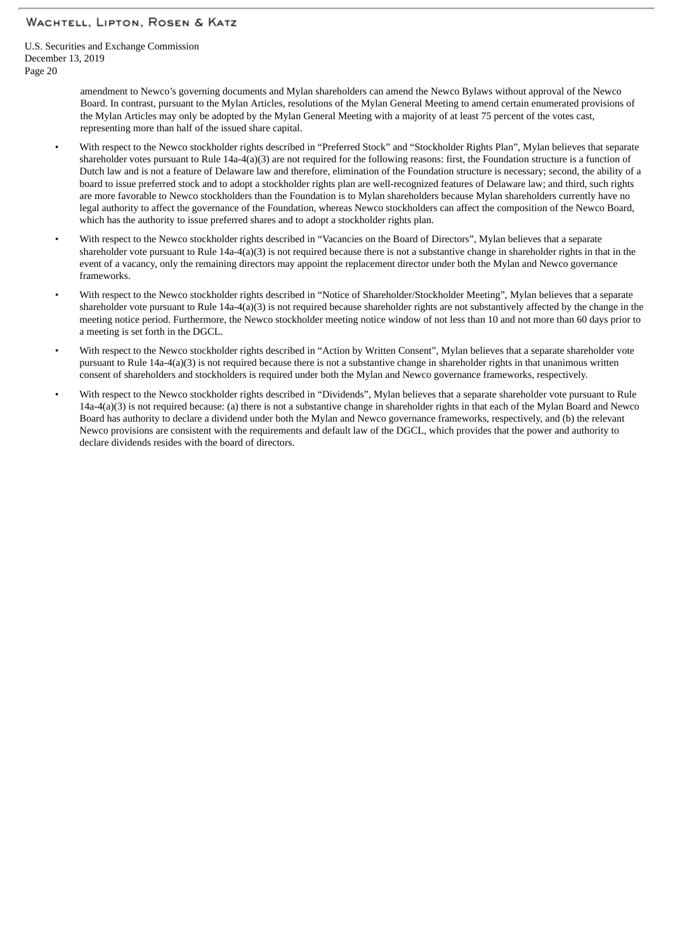U.S. Securities and Exchange Commission December 13, 2019 Page 20

> amendment to Newco's governing documents and Mylan shareholders can amend the Newco Bylaws without approval of the Newco Board. In contrast, pursuant to the Mylan Articles, resolutions of the Mylan General Meeting to amend certain enumerated provisions of the Mylan Articles may only be adopted by the Mylan General Meeting with a majority of at least 75 percent of the votes cast, representing more than half of the issued share capital.

- With respect to the Newco stockholder rights described in "Preferred Stock" and "Stockholder Rights Plan", Mylan believes that separate shareholder votes pursuant to Rule 14a-4(a)(3) are not required for the following reasons: first, the Foundation structure is a function of Dutch law and is not a feature of Delaware law and therefore, elimination of the Foundation structure is necessary; second, the ability of a board to issue preferred stock and to adopt a stockholder rights plan are well-recognized features of Delaware law; and third, such rights are more favorable to Newco stockholders than the Foundation is to Mylan shareholders because Mylan shareholders currently have no legal authority to affect the governance of the Foundation, whereas Newco stockholders can affect the composition of the Newco Board, which has the authority to issue preferred shares and to adopt a stockholder rights plan.
- With respect to the Newco stockholder rights described in "Vacancies on the Board of Directors", Mylan believes that a separate shareholder vote pursuant to Rule  $14a-4(a)(3)$  is not required because there is not a substantive change in shareholder rights in that in the event of a vacancy, only the remaining directors may appoint the replacement director under both the Mylan and Newco governance frameworks.
- With respect to the Newco stockholder rights described in "Notice of Shareholder/Stockholder Meeting", Mylan believes that a separate shareholder vote pursuant to Rule 14a-4(a)(3) is not required because shareholder rights are not substantively affected by the change in the meeting notice period. Furthermore, the Newco stockholder meeting notice window of not less than 10 and not more than 60 days prior to a meeting is set forth in the DGCL.
- With respect to the Newco stockholder rights described in "Action by Written Consent", Mylan believes that a separate shareholder vote pursuant to Rule 14a-4(a)(3) is not required because there is not a substantive change in shareholder rights in that unanimous written consent of shareholders and stockholders is required under both the Mylan and Newco governance frameworks, respectively.
- With respect to the Newco stockholder rights described in "Dividends", Mylan believes that a separate shareholder vote pursuant to Rule 14a-4(a)(3) is not required because: (a) there is not a substantive change in shareholder rights in that each of the Mylan Board and Newco Board has authority to declare a dividend under both the Mylan and Newco governance frameworks, respectively, and (b) the relevant Newco provisions are consistent with the requirements and default law of the DGCL, which provides that the power and authority to declare dividends resides with the board of directors.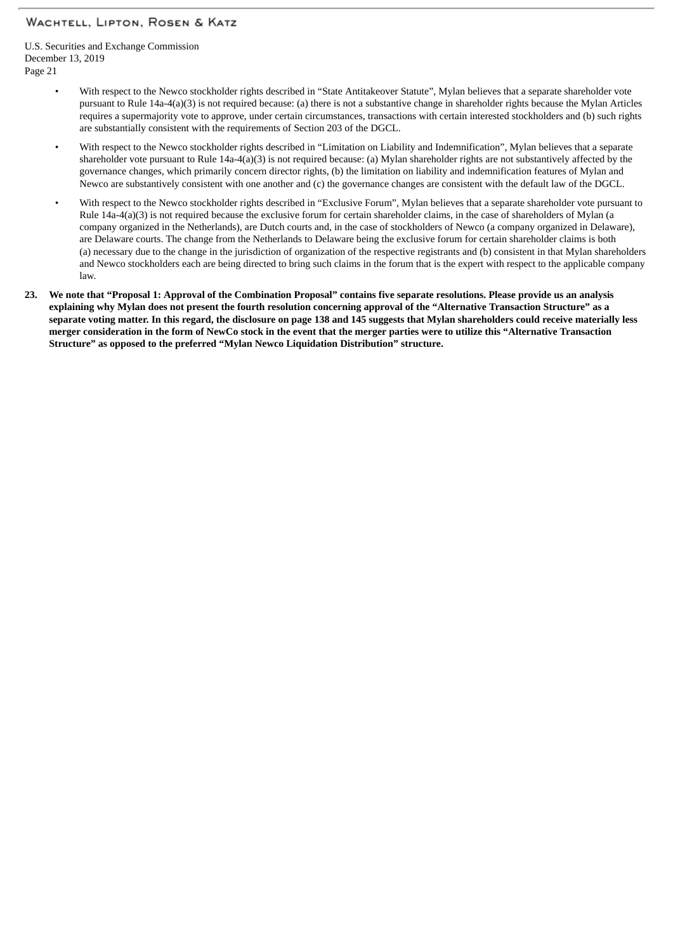U.S. Securities and Exchange Commission December 13, 2019 Page 21

- With respect to the Newco stockholder rights described in "State Antitakeover Statute", Mylan believes that a separate shareholder vote pursuant to Rule 14a-4(a)(3) is not required because: (a) there is not a substantive change in shareholder rights because the Mylan Articles requires a supermajority vote to approve, under certain circumstances, transactions with certain interested stockholders and (b) such rights are substantially consistent with the requirements of Section 203 of the DGCL.
- With respect to the Newco stockholder rights described in "Limitation on Liability and Indemnification", Mylan believes that a separate shareholder vote pursuant to Rule 14a-4(a)(3) is not required because: (a) Mylan shareholder rights are not substantively affected by the governance changes, which primarily concern director rights, (b) the limitation on liability and indemnification features of Mylan and Newco are substantively consistent with one another and (c) the governance changes are consistent with the default law of the DGCL.
- With respect to the Newco stockholder rights described in "Exclusive Forum", Mylan believes that a separate shareholder vote pursuant to Rule 14a-4(a)(3) is not required because the exclusive forum for certain shareholder claims, in the case of shareholders of Mylan (a company organized in the Netherlands), are Dutch courts and, in the case of stockholders of Newco (a company organized in Delaware), are Delaware courts. The change from the Netherlands to Delaware being the exclusive forum for certain shareholder claims is both (a) necessary due to the change in the jurisdiction of organization of the respective registrants and (b) consistent in that Mylan shareholders and Newco stockholders each are being directed to bring such claims in the forum that is the expert with respect to the applicable company law.
- 23. We note that "Proposal 1: Approval of the Combination Proposal" contains five separate resolutions. Please provide us an analysis explaining why Mylan does not present the fourth resolution concerning approval of the "Alternative Transaction Structure" as a separate voting matter. In this regard, the disclosure on page 138 and 145 suggests that Mylan shareholders could receive materially less merger consideration in the form of NewCo stock in the event that the merger parties were to utilize this "Alternative Transaction **Structure" as opposed to the preferred "Mylan Newco Liquidation Distribution" structure.**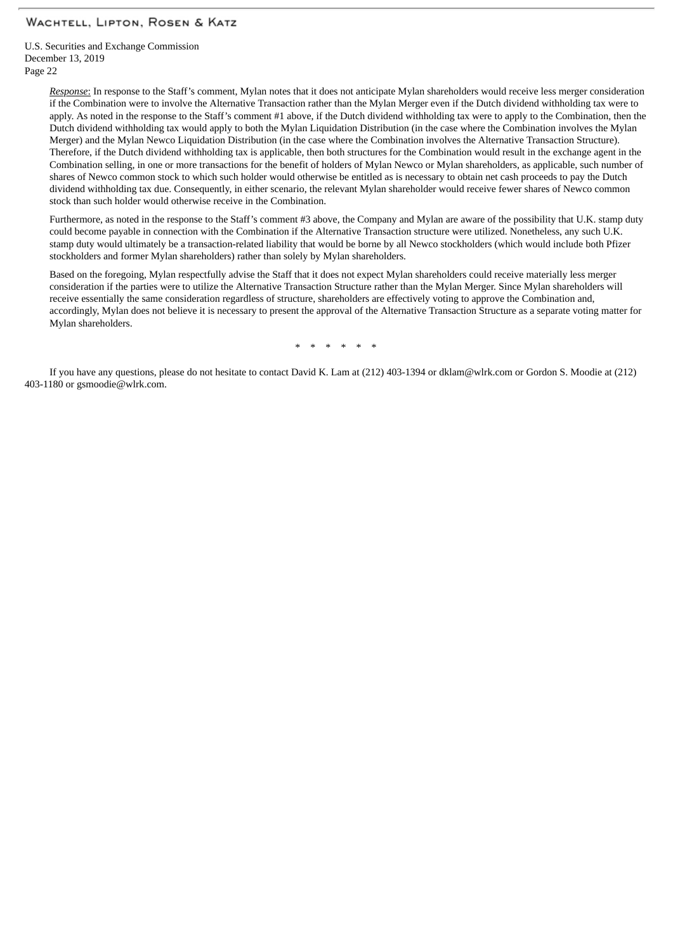U.S. Securities and Exchange Commission December 13, 2019 Page 22

> *Response*: In response to the Staff's comment, Mylan notes that it does not anticipate Mylan shareholders would receive less merger consideration if the Combination were to involve the Alternative Transaction rather than the Mylan Merger even if the Dutch dividend withholding tax were to apply. As noted in the response to the Staff's comment #1 above, if the Dutch dividend withholding tax were to apply to the Combination, then the Dutch dividend withholding tax would apply to both the Mylan Liquidation Distribution (in the case where the Combination involves the Mylan Merger) and the Mylan Newco Liquidation Distribution (in the case where the Combination involves the Alternative Transaction Structure). Therefore, if the Dutch dividend withholding tax is applicable, then both structures for the Combination would result in the exchange agent in the Combination selling, in one or more transactions for the benefit of holders of Mylan Newco or Mylan shareholders, as applicable, such number of shares of Newco common stock to which such holder would otherwise be entitled as is necessary to obtain net cash proceeds to pay the Dutch dividend withholding tax due. Consequently, in either scenario, the relevant Mylan shareholder would receive fewer shares of Newco common stock than such holder would otherwise receive in the Combination.

> Furthermore, as noted in the response to the Staff's comment #3 above, the Company and Mylan are aware of the possibility that U.K. stamp duty could become payable in connection with the Combination if the Alternative Transaction structure were utilized. Nonetheless, any such U.K. stamp duty would ultimately be a transaction-related liability that would be borne by all Newco stockholders (which would include both Pfizer stockholders and former Mylan shareholders) rather than solely by Mylan shareholders.

> Based on the foregoing, Mylan respectfully advise the Staff that it does not expect Mylan shareholders could receive materially less merger consideration if the parties were to utilize the Alternative Transaction Structure rather than the Mylan Merger. Since Mylan shareholders will receive essentially the same consideration regardless of structure, shareholders are effectively voting to approve the Combination and, accordingly, Mylan does not believe it is necessary to present the approval of the Alternative Transaction Structure as a separate voting matter for Mylan shareholders.

> > \* \* \* \* \* \*

If you have any questions, please do not hesitate to contact David K. Lam at (212) 403-1394 or dklam@wlrk.com or Gordon S. Moodie at (212) 403-1180 or gsmoodie@wlrk.com.